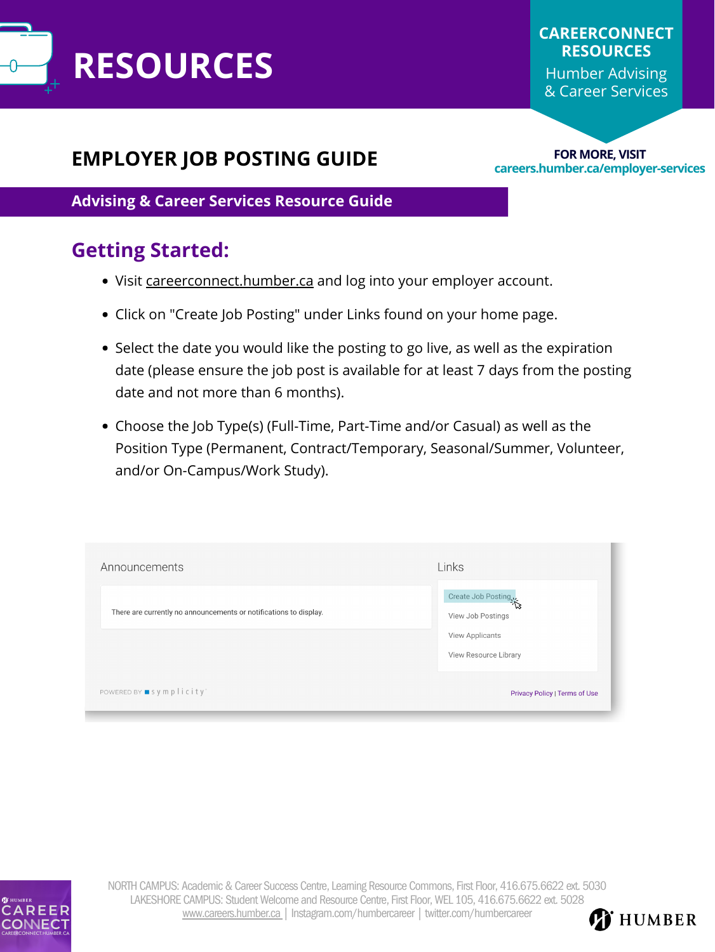### **Advising & Career Services Resource Guide**



# **EMPLOYER JOB POSTING GUIDE**

# **Getting Started:**

- Visit [careerconnect.humber.ca](https://humber-csm.symplicity.com/) and log into your employer account.
- Click on "Create Job Posting" under Links found on your home page.
- Select the date you would like the posting to go live, as well as the expiration date (please ensure the job post is available for at least 7 days from the posting date and not more than 6 months).
- Choose the Job Type(s) (Full-Time, Part-Time and/or Casual) as well as the Position Type (Permanent, Contract/Temporary, Seasonal/Summer, Volunteer, and/or On-Campus/Work Study).

| Announcements                                                     | Links                                                                                             |
|-------------------------------------------------------------------|---------------------------------------------------------------------------------------------------|
| There are currently no announcements or notifications to display. | Create Job Posting<br>View Job Postings<br><b>View Applicants</b><br><b>View Resource Library</b> |
| POWERED BY symplicity <sup>*</sup>                                | Privacy Policy   Terms of Use                                                                     |



NORTH CAMPUS: Academic & Career Success Centre, Learning Resource Commons, First Floor, 416.675.6622 ext. 5030 LAKESHORE CAMPUS: Student Welcome and Resource Centre, First Floor, WEL 105, 416.675.6622 ext. 5028 [www.careers.humber.ca](http://careers.humber.ca/) | Instagram.com/humbercareer | twitter.com/humbercareer



### **CAREERCONNECT RESOURCES**

Humber Advising & Career Services

**FOR MORE, VISIT [careers.humber.ca/employer-services](https://careers.humber.ca/employer-services.php)**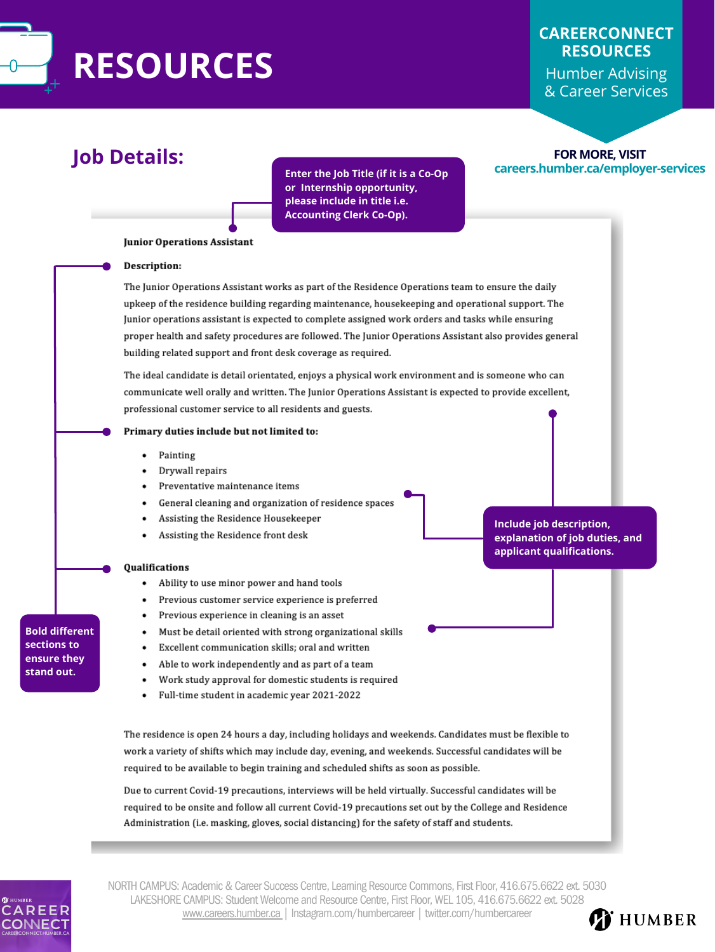### **Job Details:**



# **RESOURCES**

**Enter the Job Title (if it is a Co-Op or Internship opportunity, please include in title i.e. Accounting Clerk Co-Op).**

#### **Junior Operations Assistant**

#### Description:

The Junior Operations Assistant works as part of the Residence Operations team to ensure the daily upkeep of the residence building regarding maintenance, housekeeping and operational support. The Junior operations assistant is expected to complete assigned work orders and tasks while ensuring proper health and safety procedures are followed. The Junior Operations Assistant also provides general building related support and front desk coverage as required.

The ideal candidate is detail orientated, enjoys a physical work environment and is someone who can communicate well orally and written. The Junior Operations Assistant is expected to provide excellent, professional customer service to all residents and guests.

#### Primary duties include but not limited to:

- Painting
- Drywall repairs
- Preventative maintenance items

**Include job description, explanation of job duties, and applicant qualifications.**

**HUMBER** 

**Bold different sections to ensure they stand out.**

### **CAREERCONNECT RESOURCES**

Humber Advising & Career Services

#### **FOR MORE, VISIT [careers.humber.ca/employer-services](https://careers.humber.ca/employer-services.php)**

- General cleaning and organization of residence spaces
- Assisting the Residence Housekeeper
- Assisting the Residence front desk

#### Qualifications

- Ability to use minor power and hand tools
- Previous customer service experience is preferred ۰
- Previous experience in cleaning is an asset ۰
- Must be detail oriented with strong organizational skills
- Excellent communication skills; oral and written ۰
- Able to work independently and as part of a team
- Work study approval for domestic students is required ۰
- Full-time student in academic year 2021-2022 ۰

The residence is open 24 hours a day, including holidays and weekends. Candidates must be flexible to work a variety of shifts which may include day, evening, and weekends. Successful candidates will be required to be available to begin training and scheduled shifts as soon as possible.

Due to current Covid-19 precautions, interviews will be held virtually. Successful candidates will be required to be onsite and follow all current Covid-19 precautions set out by the College and Residence Administration (i.e. masking, gloves, social distancing) for the safety of staff and students.



NORTH CAMPUS: Academic & Career Success Centre, Learning Resource Commons, First Floor, 416.675.6622 ext. 5030 LAKESHORE CAMPUS: Student Welcome and Resource Centre, First Floor, WEL 105, 416.675.6622 ext. 5028 [www.careers.humber.ca](http://careers.humber.ca/) | Instagram.com/humbercareer | twitter.com/humbercareer